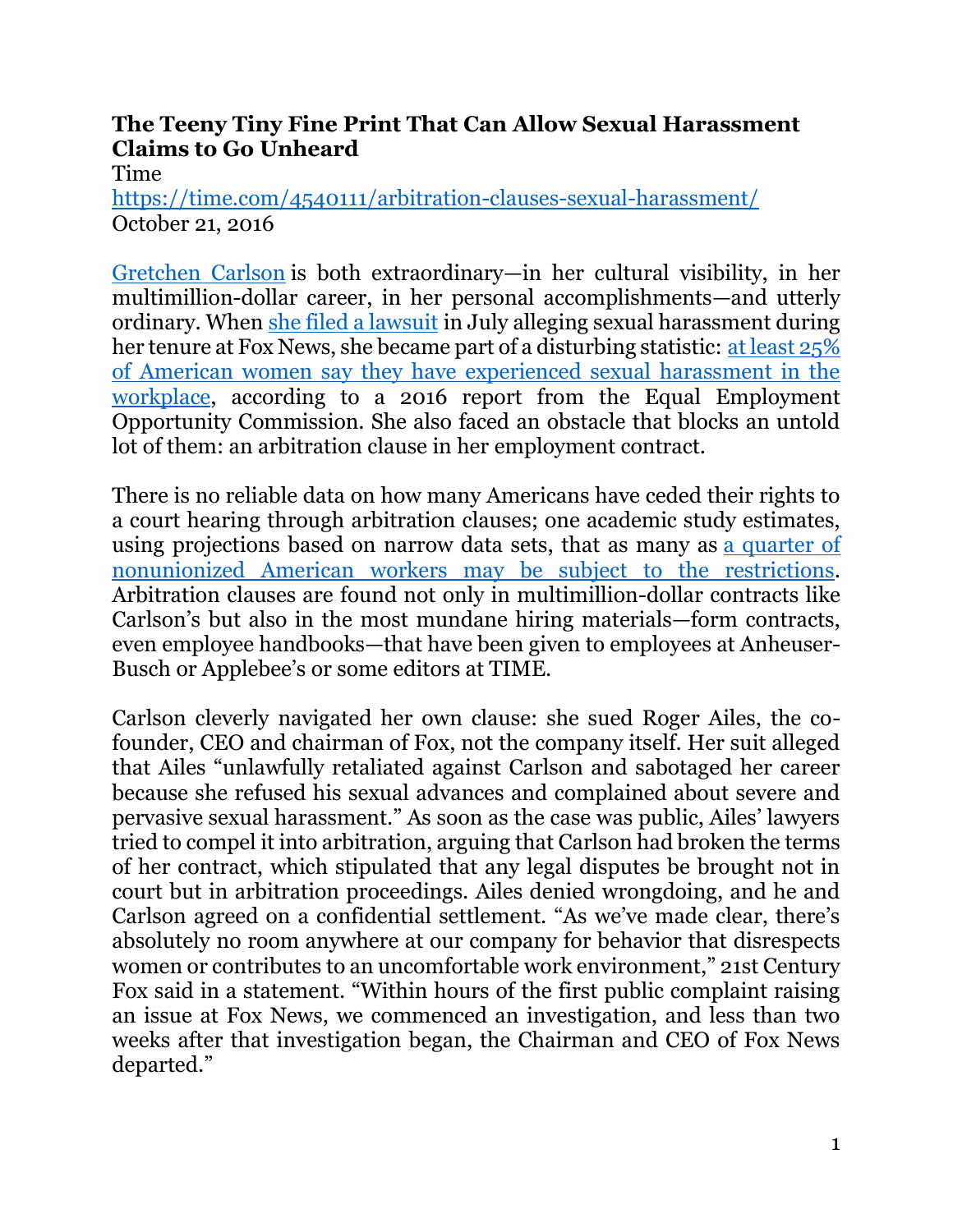## **The Teeny Tiny Fine Print That Can Allow Sexual Harassment Claims to Go Unheard**

Time

<https://time.com/4540111/arbitration-clauses-sexual-harassment/> October 21, 2016

[Gretchen Carlson](https://time.com/4540095/gretchen-carlsons-next-fight/) is both extraordinary—in her cultural visibility, in her multimillion-dollar career, in her personal accomplishments—and utterly ordinary. When [she filed a lawsuit](https://time.com/4394896/gretchen-carlson-roger-ailes-fox-news-sexual-harassment-lawsuit/) in July alleging sexual harassment during her tenure at Fox News, she became part of a disturbing statistic: [at least 25%](https://www.eeoc.gov/eeoc/task_force/harassment/upload/report.pdf)  [of American women say they have experienced sexual harassment in the](https://www.eeoc.gov/eeoc/task_force/harassment/upload/report.pdf)  [workplace,](https://www.eeoc.gov/eeoc/task_force/harassment/upload/report.pdf) according to a 2016 report from the Equal Employment Opportunity Commission. She also faced an obstacle that blocks an untold lot of them: an arbitration clause in her employment contract.

There is no reliable data on how many Americans have ceded their rights to a court hearing through arbitration clauses; one academic study estimates, using projections based on narrow data sets, that as many as a quarter of [nonunionized American workers may be subject to the restrictions.](http://www.epi.org/publication/the-arbitration-epidemic/) Arbitration clauses are found not only in multimillion-dollar contracts like Carlson's but also in the most mundane hiring materials—form contracts, even employee handbooks—that have been given to employees at Anheuser-Busch or Applebee's or some editors at TIME.

Carlson cleverly navigated her own clause: she sued Roger Ailes, the cofounder, CEO and chairman of Fox, not the company itself. Her suit alleged that Ailes "unlawfully retaliated against Carlson and sabotaged her career because she refused his sexual advances and complained about severe and pervasive sexual harassment." As soon as the case was public, Ailes' lawyers tried to compel it into arbitration, arguing that Carlson had broken the terms of her contract, which stipulated that any legal disputes be brought not in court but in arbitration proceedings. Ailes denied wrongdoing, and he and Carlson agreed on a confidential settlement. "As we've made clear, there's absolutely no room anywhere at our company for behavior that disrespects women or contributes to an uncomfortable work environment," 21st Century Fox said in a statement. "Within hours of the first public complaint raising an issue at Fox News, we commenced an investigation, and less than two weeks after that investigation began, the Chairman and CEO of Fox News departed."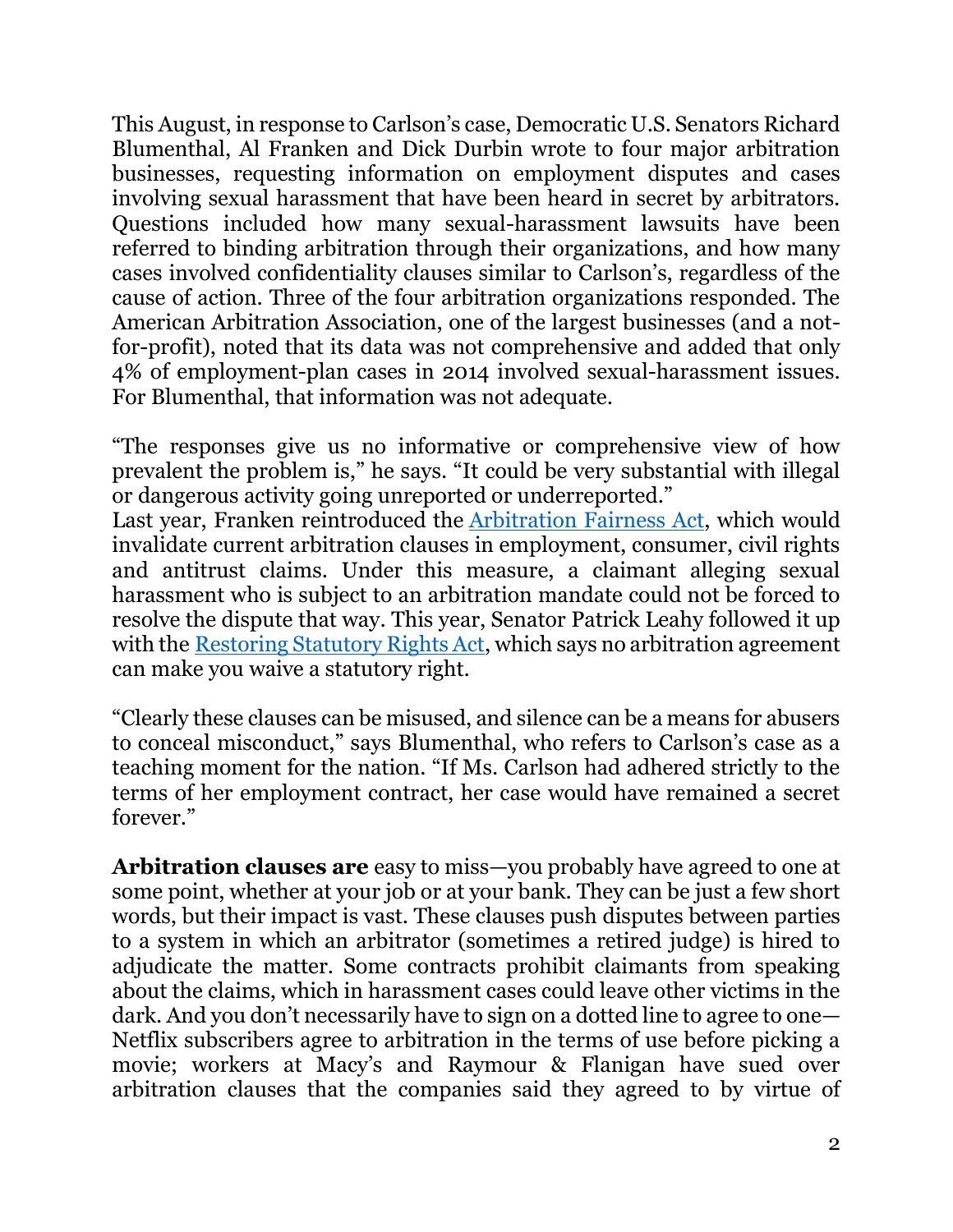This August, in response to Carlson's case, Democratic U.S. Senators Richard Blumenthal, Al Franken and Dick Durbin wrote to four major arbitration businesses, requesting information on employment disputes and cases involving sexual harassment that have been heard in secret by arbitrators. Questions included how many sexual-harassment lawsuits have been referred to binding arbitration through their organizations, and how many cases involved confidentiality clauses similar to Carlson's, regardless of the cause of action. Three of the four arbitration organizations responded. The American Arbitration Association, one of the largest businesses (and a notfor-profit), noted that its data was not comprehensive and added that only 4% of employment-plan cases in 2014 involved sexual-harassment issues. For Blumenthal, that information was not adequate.

"The responses give us no informative or comprehensive view of how prevalent the problem is," he says. "It could be very substantial with illegal or dangerous activity going unreported or underreported." Last year, Franken reintroduced the [Arbitration Fairness Act,](https://www.congress.gov/bill/114th-congress/senate-bill/1133) which would invalidate current arbitration clauses in employment, consumer, civil rights and antitrust claims. Under this measure, a claimant alleging sexual harassment who is subject to an arbitration mandate could not be forced to resolve the dispute that way. This year, Senator Patrick Leahy followed it up with the [Restoring Statutory Rights Act,](https://www.congress.gov/bill/114th-congress/senate-bill/2506) which says no arbitration agreement can make you waive a statutory right.

"Clearly these clauses can be misused, and silence can be a means for abusers to conceal misconduct," says Blumenthal, who refers to Carlson's case as a teaching moment for the nation. "If Ms. Carlson had adhered strictly to the terms of her employment contract, her case would have remained a secret forever."

**Arbitration clauses are** easy to miss—you probably have agreed to one at some point, whether at your job or at your bank. They can be just a few short words, but their impact is vast. These clauses push disputes between parties to a system in which an arbitrator (sometimes a retired judge) is hired to adjudicate the matter. Some contracts prohibit claimants from speaking about the claims, which in harassment cases could leave other victims in the dark. And you don't necessarily have to sign on a dotted line to agree to one— Netflix subscribers agree to arbitration in the terms of use before picking a movie; workers at Macy's and Raymour & Flanigan have sued over arbitration clauses that the companies said they agreed to by virtue of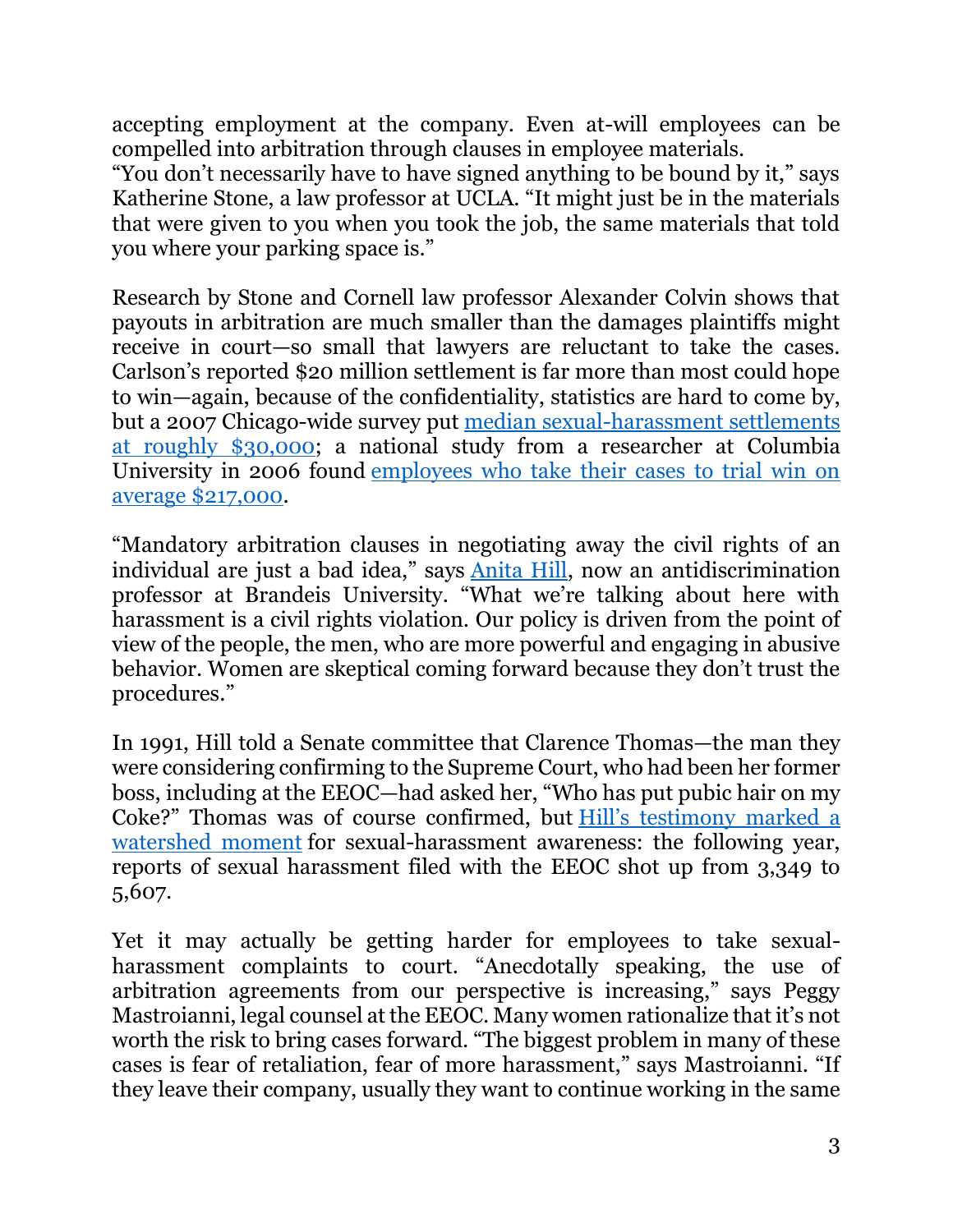accepting employment at the company. Even at-will employees can be compelled into arbitration through clauses in employee materials.

"You don't necessarily have to have signed anything to be bound by it," says Katherine Stone, a law professor at UCLA. "It might just be in the materials that were given to you when you took the job, the same materials that told you where your parking space is."

Research by Stone and Cornell law professor Alexander Colvin shows that payouts in arbitration are much smaller than the damages plaintiffs might receive in court—so small that lawyers are reluctant to take the cases. Carlson's reported \$20 million settlement is far more than most could hope to win—again, because of the confidentiality, statistics are hard to come by, but a 2007 Chicago-wide survey put [median sexual-harassment settlements](http://law2.wlu.edu/deptimages/Law%20Review/64-1%20Kotkin%20Article.pdf)  [at roughly \\$30,000;](http://law2.wlu.edu/deptimages/Law%20Review/64-1%20Kotkin%20Article.pdf) a national study from a researcher at Columbia University in 2006 found [employees who take their cases to trial win on](https://papers.ssrn.com/sol3/papers.cfm?abstract_id=852264)  [average \\$217,000.](https://papers.ssrn.com/sol3/papers.cfm?abstract_id=852264)

"Mandatory arbitration clauses in negotiating away the civil rights of an individual are just a bad idea," says [Anita Hill,](https://time.com/4281036/anita-hill-on-confirmation-what-joe-biden-did-wrong-and-the-clintons/) now an antidiscrimination professor at Brandeis University. "What we're talking about here with harassment is a civil rights violation. Our policy is driven from the point of view of the people, the men, who are more powerful and engaging in abusive behavior. Women are skeptical coming forward because they don't trust the procedures."

In 1991, Hill told a Senate committee that Clarence Thomas—the man they were considering confirming to the Supreme Court, who had been her former boss, including at the EEOC—had asked her, "Who has put pubic hair on my Coke?" Thomas was of course confirmed, but [Hill's testimony marked a](http://content.time.com/time/magazine/article/0,9171,976770,00.html)  [watershed moment](http://content.time.com/time/magazine/article/0,9171,976770,00.html) for sexual-harassment awareness: the following year, reports of sexual harassment filed with the EEOC shot up from 3,349 to 5,607.

Yet it may actually be getting harder for employees to take sexualharassment complaints to court. "Anecdotally speaking, the use of arbitration agreements from our perspective is increasing," says Peggy Mastroianni, legal counsel at the EEOC. Many women rationalize that it's not worth the risk to bring cases forward. "The biggest problem in many of these cases is fear of retaliation, fear of more harassment," says Mastroianni. "If they leave their company, usually they want to continue working in the same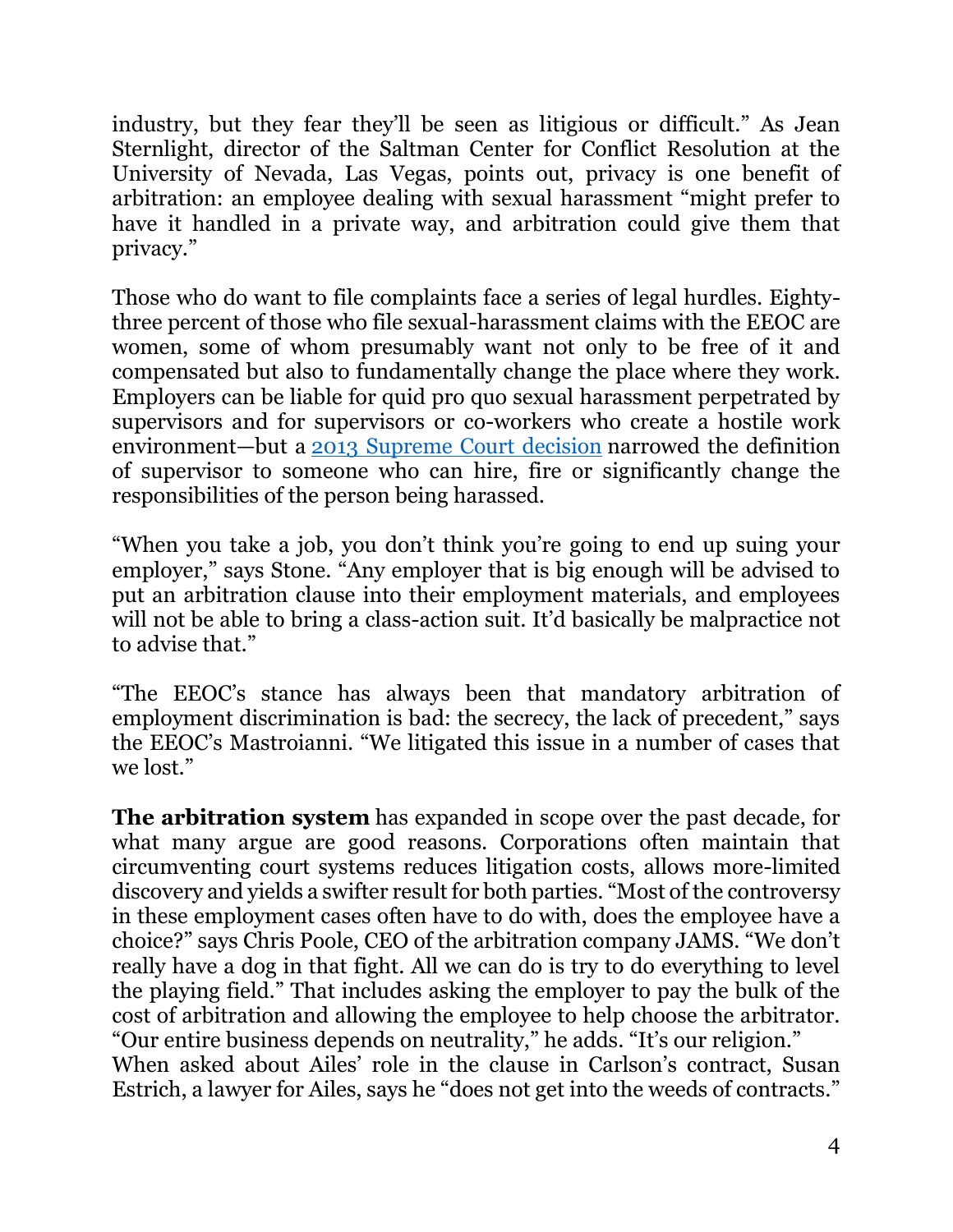industry, but they fear they'll be seen as litigious or difficult." As Jean Sternlight, director of the Saltman Center for Conflict Resolution at the University of Nevada, Las Vegas, points out, privacy is one benefit of arbitration: an employee dealing with sexual harassment "might prefer to have it handled in a private way, and arbitration could give them that privacy."

Those who do want to file complaints face a series of legal hurdles. Eightythree percent of those who file sexual-harassment claims with the EEOC are women, some of whom presumably want not only to be free of it and compensated but also to fundamentally change the place where they work. Employers can be liable for quid pro quo sexual harassment perpetrated by supervisors and for supervisors or co-workers who create a hostile work environment—but a [2013 Supreme Court decision](https://www.supremecourt.gov/opinions/12pdf/11-556_11o2.pdf) narrowed the definition of supervisor to someone who can hire, fire or significantly change the responsibilities of the person being harassed.

"When you take a job, you don't think you're going to end up suing your employer," says Stone. "Any employer that is big enough will be advised to put an arbitration clause into their employment materials, and employees will not be able to bring a class-action suit. It'd basically be malpractice not to advise that."

"The EEOC's stance has always been that mandatory arbitration of employment discrimination is bad: the secrecy, the lack of precedent," says the EEOC's Mastroianni. "We litigated this issue in a number of cases that we lost."

**The arbitration system** has expanded in scope over the past decade, for what many argue are good reasons. Corporations often maintain that circumventing court systems reduces litigation costs, allows more-limited discovery and yields a swifter result for both parties. "Most of the controversy in these employment cases often have to do with, does the employee have a choice?" says Chris Poole, CEO of the arbitration company JAMS. "We don't really have a dog in that fight. All we can do is try to do everything to level the playing field." That includes asking the employer to pay the bulk of the cost of arbitration and allowing the employee to help choose the arbitrator. "Our entire business depends on neutrality," he adds. "It's our religion." When asked about Ailes' role in the clause in Carlson's contract, Susan Estrich, a lawyer for Ailes, says he "does not get into the weeds of contracts."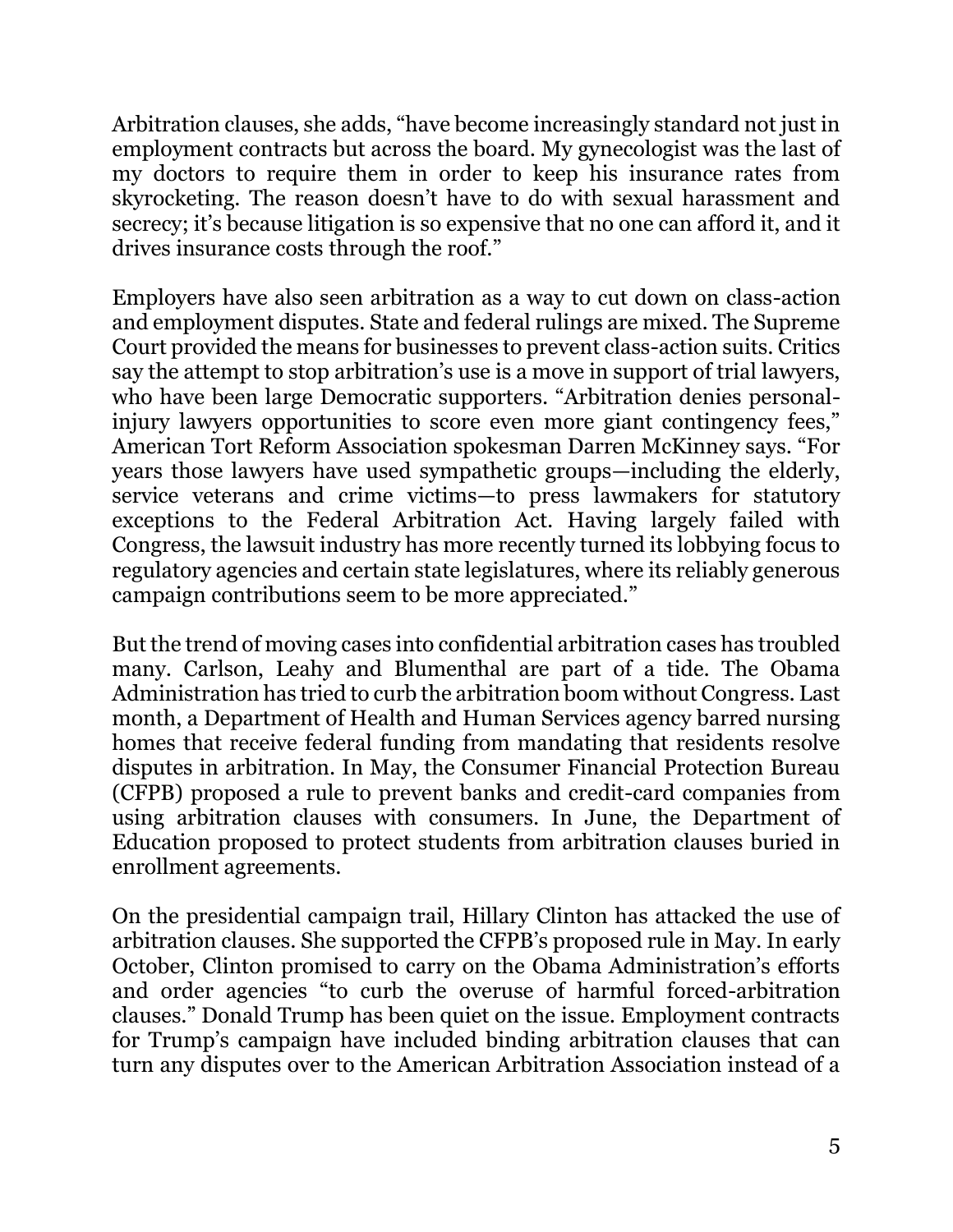Arbitration clauses, she adds, "have become increasingly standard not just in employment contracts but across the board. My gynecologist was the last of my doctors to require them in order to keep his insurance rates from skyrocketing. The reason doesn't have to do with sexual harassment and secrecy; it's because litigation is so expensive that no one can afford it, and it drives insurance costs through the roof."

Employers have also seen arbitration as a way to cut down on class-action and employment disputes. State and federal rulings are mixed. The Supreme Court provided the means for businesses to prevent class-action suits. Critics say the attempt to stop arbitration's use is a move in support of trial lawyers, who have been large Democratic supporters. "Arbitration denies personalinjury lawyers opportunities to score even more giant contingency fees," American Tort Reform Association spokesman Darren McKinney says. "For years those lawyers have used sympathetic groups—including the elderly, service veterans and crime victims—to press lawmakers for statutory exceptions to the Federal Arbitration Act. Having largely failed with Congress, the lawsuit industry has more recently turned its lobbying focus to regulatory agencies and certain state legislatures, where its reliably generous campaign contributions seem to be more appreciated."

But the trend of moving cases into confidential arbitration cases has troubled many. Carlson, Leahy and Blumenthal are part of a tide. The Obama Administration has tried to curb the arbitration boom without Congress. Last month, a Department of Health and Human Services agency barred nursing homes that receive federal funding from mandating that residents resolve disputes in arbitration. In May, the Consumer Financial Protection Bureau (CFPB) proposed a rule to prevent banks and credit-card companies from using arbitration clauses with consumers. In June, the Department of Education proposed to protect students from arbitration clauses buried in enrollment agreements.

On the presidential campaign trail, Hillary Clinton has attacked the use of arbitration clauses. She supported the CFPB's proposed rule in May. In early October, Clinton promised to carry on the Obama Administration's efforts and order agencies "to curb the overuse of harmful forced-arbitration clauses." Donald Trump has been quiet on the issue. Employment contracts for Trump's campaign have included binding arbitration clauses that can turn any disputes over to the American Arbitration Association instead of a